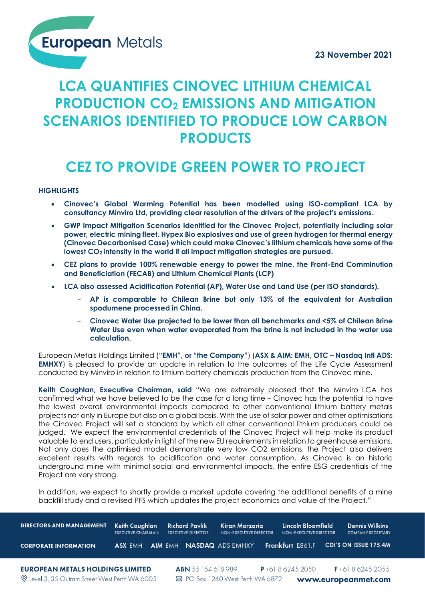**European Metals** 

# **LCA QUANTIFIES CINOVEC LITHIUM CHEMICAL PRODUCTION CO<sup>2</sup> EMISSIONS AND MITIGATION SCENARIOS IDENTIFIED TO PRODUCE LOW CARBON PRODUCTS**

# **CEZ TO PROVIDE GREEN POWER TO PROJECT**

**HIGHLIGHTS**

- **Cinovec's Global Warming Potential has been modelled using ISO-compliant LCA by consultancy Minviro Ltd, providing clear resolution of the drivers of the project's emissions.**
- **GWP Impact Mitigation Scenarios identified for the Cinovec Project, potentially including solar power, electric mining fleet, Hypex Bio explosives and use of green hydrogen for thermal energy (Cinovec Decarbonised Case) which could make Cinovec's lithium chemicals have some of the lowest CO2 intensity in the world if all impact mitigation strategies are pursued.**
- **CEZ plans to provide 100% renewable energy to power the mine, the Front-End Comminution and Beneficiation (FECAB) and Lithium Chemical Plants (LCP)**
- **LCA also assessed Acidification Potential (AP), Water Use and Land Use (per ISO standards).** 
	- **AP is comparable to Chilean Brine but only 13% of the equivalent for Australian spodumene processed in China.**
	- **Cinovec Water Use projected to be lower than all benchmarks and <5% of Chilean Brine Water Use even when water evaporated from the brine is not included in the water use calculation.**

European Metals Holdings Limited ("**EMH", or "the Company"**) (**ASX & AIM: EMH, OTC – Nasdaq Intl ADS: EMHXY**) is pleased to provide an update in relation to the outcomes of the Life Cycle Assessment conducted by Minviro in relation to lithium battery chemicals production from the Cinovec mine.

**Keith Coughlan, Executive Chairman, said** "We are extremely pleased that the Minviro LCA has confirmed what we have believed to be the case for a long time – Cinovec has the potential to have the lowest overall environmental impacts compared to other conventional lithium battery metals projects not only in Europe but also on a global basis. With the use of solar power and other optimisations the Cinovec Project will set a standard by which all other conventional lithium producers could be judged. We expect the environmental credentials of the Cinovec Project will help make its product valuable to end users, particularly in light of the new EU requirements in relation to greenhouse emissions. Not only does the optimised model demonstrate very low CO2 emissions, the Project also delivers excellent results with regards to acidification and water consumption. As Cinovec is an historic underground mine with minimal social and environmental impacts, the entire ESG credentials of the Project are very strong.

In addition, we expect to shortly provide a market update covering the additional benefits of a mine Project are very strong.<br>In addition, we expect to shortly provide a market update covering the additional benefits of a<br>backfill study and a revised PFS which updates the project economics and value of the Project."

| <b>DIRECTORS AND MANAGEMENT</b>                       | Keith Coughlan<br><b>EXECUTIVE CHAIRMAN</b> |  |                | <b>Richard Pavlik</b><br><b>EXECUTIVE DIRECTOR</b>      | Kiran Morzaria<br><b>NON-EXECUTIVE DIRECTOR</b> |  | Lincoln Bloomfield<br><b>NON-EXECUTIVE DIRECTOR</b> |  | <b>Dennis Wilkins</b><br><b>COMPANY SECRETARY</b> |
|-------------------------------------------------------|---------------------------------------------|--|----------------|---------------------------------------------------------|-------------------------------------------------|--|-----------------------------------------------------|--|---------------------------------------------------|
| <b>CORPORATE INFORMATION</b>                          | ASX FMH                                     |  | <b>AIM EMH</b> |                                                         | <b>NASDAQ ADS EMHXY</b>                         |  | <b>Frankfurt E861.F</b>                             |  | CDI'S ON ISSUE 175.4M                             |
|                                                       |                                             |  |                |                                                         |                                                 |  |                                                     |  |                                                   |
| <b>EUROPEAN METALS HOLDINGS LIMITED</b>               |                                             |  |                | <b>ABN</b> 55 154 618 989                               |                                                 |  | $P + 61862452050$                                   |  | $F + 61862452055$                                 |
| <b>Q</b> Level 3, 35 Outram Street West Perth WA 6005 |                                             |  |                | ⊠ PO Box 1240 West Perth WA 6872<br>www.europeanmet.com |                                                 |  |                                                     |  |                                                   |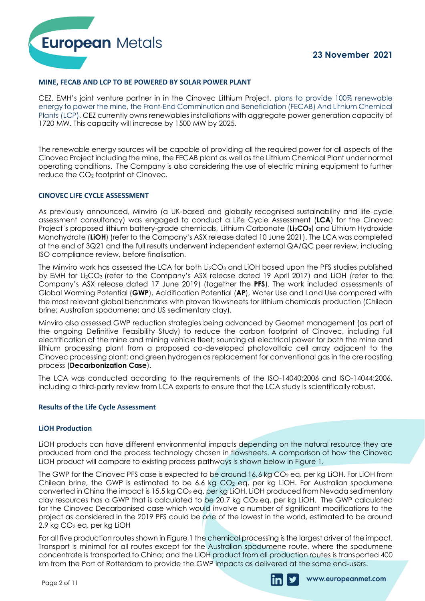

#### **MINE, FECAB AND LCP TO BE POWERED BY SOLAR POWER PLANT**

CEZ, EMH's joint venture partner in in the Cinovec Lithium Project, plans to provide 100% renewable energy to power the mine, the Front-End Comminution and Beneficiation (FECAB) And Lithium Chemical Plants (LCP). CEZ currently owns renewables installations with aggregate power generation capacity of 1720 MW. This capacity will increase by 1500 MW by 2025.

The renewable energy sources will be capable of providing all the required power for all aspects of the Cinovec Project including the mine, the FECAB plant as well as the Lithium Chemical Plant under normal operating conditions. The Company is also considering the use of electric mining equipment to further reduce the CO<sup>2</sup> footprint at Cinovec.

#### **CINOVEC LIFE CYCLE ASSESSMENT**

As previously announced, Minviro (a UK-based and globally recognised sustainability and life cycle assessment consultancy) was engaged to conduct a Life Cycle Assessment (**LCA**) for the Cinovec Project's proposed lithium battery-grade chemicals, Lithium Carbonate (**Li2CO3**) and Lithium Hydroxide Monohydrate (**LiOH**) (refer to the Company's ASX release dated 10 June 2021). The LCA was completed at the end of 3Q21 and the full results underwent independent external QA/QC peer review, including ISO compliance review, before finalisation.

The Minviro work has assessed the LCA for both Li<sub>2</sub>CO<sub>3</sub> and LiOH based upon the PFS studies published by EMH for Li2CO<sup>3</sup> (refer to the Company's ASX release dated 19 April 2017) and LiOH (refer to the Company's ASX release dated 17 June 2019) (together the **PFS**). The work included assessments of Global Warming Potential (**GWP**), Acidification Potential (**AP**), Water Use and Land Use compared with the most relevant global benchmarks with proven flowsheets for lithium chemicals production (Chilean brine; Australian spodumene; and US sedimentary clay).

Minviro also assessed GWP reduction strategies being advanced by Geomet management (as part of the ongoing Definitive Feasibility Study) to reduce the carbon footprint of Cinovec, including full electrification of the mine and mining vehicle fleet; sourcing all electrical power for both the mine and lithium processing plant from a proposed co-developed photovoltaic cell array adjacent to the Cinovec processing plant; and green hydrogen as replacement for conventional gas in the ore roasting process (**Decarbonization Case**).

The LCA was conducted according to the requirements of the ISO-14040:2006 and ISO-14044:2006, including a third-party review from LCA experts to ensure that the LCA study is scientifically robust.

#### **Results of the Life Cycle Assessment**

#### **LiOH Production**

LiOH products can have different environmental impacts depending on the natural resource they are produced from and the process technology chosen in flowsheets. A comparison of how the Cínovec LiOH product will compare to existing process pathways is shown below in Figure 1.

The GWP for the Cinovec PFS case is expected to be around  $16.6$  kg CO<sub>2</sub> eq. per kg LiOH. For LiOH from Chilean brine, the GWP is estimated to be 6.6 kg  $CO<sub>2</sub>$  eq. per kg LiOH. For Australian spodumene converted in China the impact is 15.5 kg CO<sub>2</sub> eq. per kg LiOH. LiOH produced from Nevada sedimentary clay resources has a GWP that is calculated to be 20.7 kg CO<sub>2</sub> eq. per kg LiOH. The GWP calculated for the Cinovec Decarbonised case which would involve a number of significant modifications to the project as considered in the 2019 PFS could be one of the lowest in the world, estimated to be around 2.9 kg CO<sup>2</sup> eq. per kg LiOH The GWP for the Cinovec PFS case is expected to be around 16.6 kg CO<sub>2</sub> eq. per kg LiOH. For LiC Chilean brine, the GWP is estimated to be 6.6 kg CO<sub>2</sub> eq. per kg LiOH. For Australian spod converted in China the impact is

For all five production routes shown in Figure 1 the chemical processing is the largest driver of the impact. Transport is minimal for all routes except for the Australian spodumene route, where the spodumene concentrate is transported to China; and the LiOH product from all production routes is transported 400

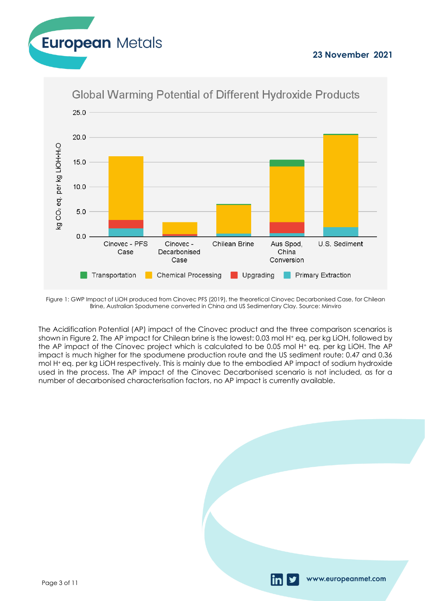



## **Global Warming Potential of Different Hydroxide Products**

Figure 1: GWP Impact of LiOH produced from Cinovec PFS (2019), the theoretical Cinovec Decarbonised Case, for Chilean Brine, Australian Spodumene converted in China and US Sedimentary Clay. Source: Minviro

The Acidification Potential (AP) impact of the Cínovec product and the three comparison scenarios is shown in Figure 2. The AP impact for Chilean brine is the lowest: 0.03 mol H<sup>+</sup> eq. per kg LiOH, followed by the AP impact of the Cínovec project which is calculated to be 0.05 mol H<sup>+</sup> eq. per kg LiOH. The AP impact is much higher for the spodumene production route and the US sediment route: 0.47 and 0.36 mol H+ eq. per kg LiOH respectively. This is mainly due to the embodied AP impact of sodium hydroxide used in the process. The AP impact of the Cinovec Decarbonised scenario is not included, as for a number of decarbonised characterisation factors, no AP impact is currently available.

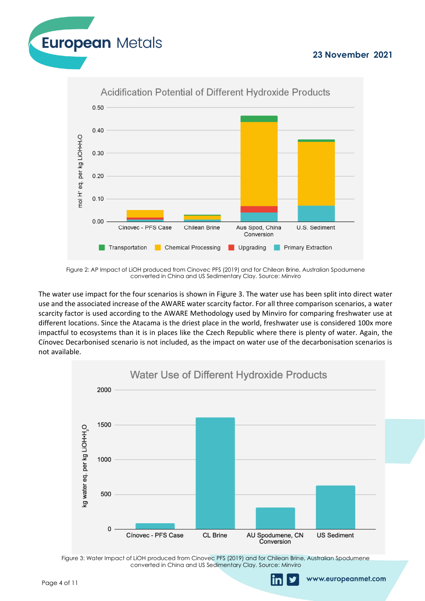www.europeanmet.com





Figure 2: AP Impact of LiOH produced from Cinovec PFS (2019) and for Chilean Brine, Australian Spodumene converted in China and US Sedimentary Clay. Source: Minviro

The water use impact for the four scenarios is shown in Figure 3. The water use has been split into direct water use and the associated increase of the AWARE water scarcity factor. For all three comparison scenarios, a water scarcity factor is used according to the AWARE Methodology used by Minviro for comparing freshwater use at different locations. Since the Atacama is the driest place in the world, freshwater use is considered 100x more impactful to ecosystems than it is in places like the Czech Republic where there is plenty of water. Again, the Cínovec Decarbonised scenario is not included, as the impact on water use of the decarbonisation scenarios is not available.



Figure 3: Water Impact of LiOH produced from Cinovec PFS (2019) and for Chilean Brine, Australian Spodumene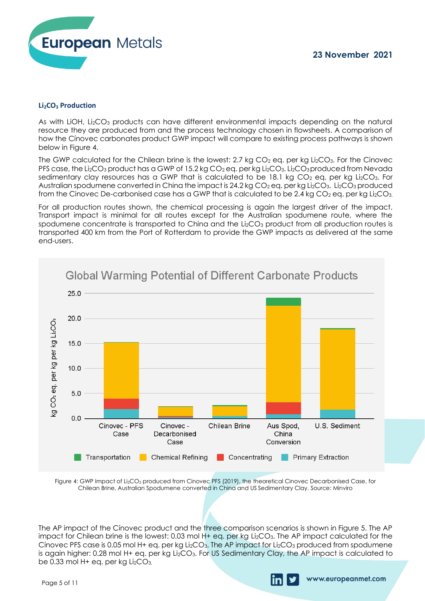

#### **Li2CO<sup>3</sup> Production**

As with LiOH, Li<sub>2</sub>CO<sub>3</sub> products can have different environmental impacts depending on the natural resource they are produced from and the process technology chosen in flowsheets. A comparison of how the Cínovec carbonates product GWP impact will compare to existing process pathways is shown below in Figure 4.

The GWP calculated for the Chilean brine is the lowest: 2.7 kg  $CO<sub>2</sub>$  eq. per kg Li<sub>2</sub>CO<sub>3</sub>. For the Cinovec PFS case, the Li<sub>2</sub>CO<sub>3</sub> product has a GWP of 15.2 kg CO<sub>2</sub> eq. per kg Li<sub>2</sub>CO<sub>3</sub>. Li<sub>2</sub>CO<sub>3</sub> produced from Nevada sedimentary clay resources has a GWP that is calculated to be 18.1 kg CO<sub>2</sub> eq. per kg Li<sub>2</sub>CO<sub>3</sub>. For Australian spodumene converted in China the impact is  $24.2$  kg CO<sub>2</sub> eq. per kg Li<sub>2</sub>CO<sub>3</sub>. Li<sub>2</sub>CO<sub>3</sub> produced from the Cinovec De-carbonised case has a GWP that is calculated to be 2.4 kg  $CO<sub>2</sub>$  eq. per kg Li<sub>2</sub>CO<sub>3</sub>.

For all production routes shown, the chemical processing is again the largest driver of the impact. Transport impact is minimal for all routes except for the Australian spodumene route, where the spodumene concentrate is transported to China and the Li<sub>2</sub>CO<sub>3</sub> product from all production routes is transported 400 km from the Port of Rotterdam to provide the GWP impacts as delivered at the same end-users.



Figure 4: GWP Impact of Li<sub>2</sub>CO<sub>3</sub> produced from Cinovec PFS (2019), the theoretical Cinovec Decarbonised Case, for Chilean Brine, Australian Spodumene converted in China and US Sedimentary Clay. Source: Minviro

The AP impact of the Cínovec product and the three comparison scenarios is shown in Figure 5. The AP impact for Chilean brine is the lowest: 0.03 mol H+ eq. per kg Li<sub>2</sub>CO<sub>3</sub>. The AP impact calculated for the Cínovec PFS case is 0.05 mol H+ eq. per kg Li<sub>2</sub>CO<sub>3</sub>. The AP impact for Li<sub>2</sub>CO<sub>3</sub> produced from spodumene is again higher: 0.28 mol H+ eq. per kg Li2CO3. For US Sedimentary Clay, the AP impact is calculated to Figure 4: GWP Impact of Li<sub>2</sub>CO<sub>3</sub> pro<br>Chilean Brine, Australian Sp<br>The AP impact of the Cínovec pro<br>impact for Chilean brine is the love<br>Cínovec PFS case is 0.05 mol H+ eq. p<br>is again higher: 0.28 mol H+ eq. p<br>be 0.33 mol

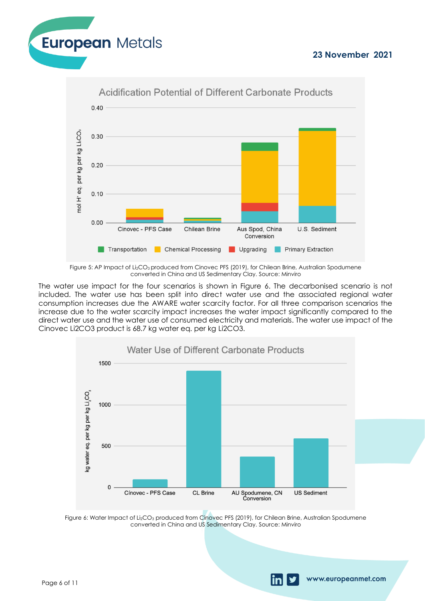www.europeanmet.com





Figure 5: AP Impact of Li<sub>2</sub>CO<sub>3</sub> produced from Cinovec PFS (2019), for Chilean Brine, Australian Spodumene converted in China and US Sedimentary Clay. Source: Minviro

The water use impact for the four scenarios is shown in Figure 6. The decarbonised scenario is not included. The water use has been split into direct water use and the associated regional water consumption increases due the AWARE water scarcity factor. For all three comparison scenarios the increase due to the water scarcity impact increases the water impact significantly compared to the direct water use and the water use of consumed electricity and materials. The water use impact of the Cinovec Li2CO3 product is 68.7 kg water eq. per kg Li2CO3.



Figure 6: Water Impact of Li $_2$ CO $_3$  produced from Cinovec PFS (2019), for Chilean Brine, Australian Spodumene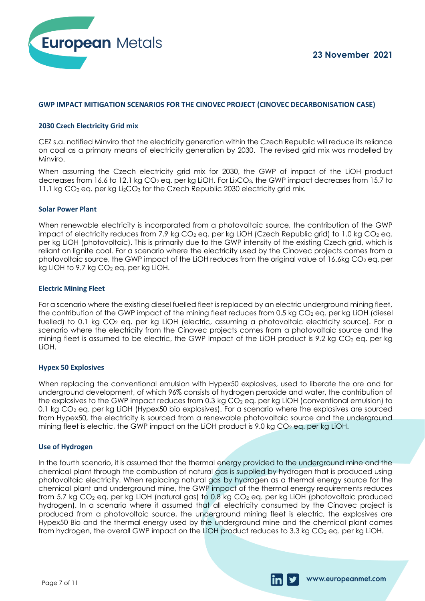

www.europeanmet.com



#### **GWP IMPACT MITIGATION SCENARIOS FOR THE CINOVEC PROJECT (CINOVEC DECARBONISATION CASE)**

#### **2030 Czech Electricity Grid mix**

CEZ s.a. notified Minviro that the electricity generation within the Czech Republic will reduce its reliance on coal as a primary means of electricity generation by 2030. The revised grid mix was modelled by Minviro.

When assuming the Czech electricity grid mix for 2030, the GWP of impact of the LiOH product decreases from 16.6 to 12.1 kg CO<sub>2</sub> eq. per kg LiOH. For Li<sub>2</sub>CO<sub>3</sub>, the GWP impact decreases from 15.7 to 11.1 kg CO<sub>2</sub> eq. per kg Li<sub>2</sub>CO<sub>3</sub> for the Czech Republic 2030 electricity grid mix.

#### **Solar Power Plant**

When renewable electricity is incorporated from a photovoltaic source, the contribution of the GWP impact of electricity reduces from 7.9 kg  $CO<sub>2</sub>$  eg. per kg LiOH (Czech Republic grid) to 1.0 kg  $CO<sub>2</sub>$  eg. per kg LiOH (photovoltaic). This is primarily due to the GWP intensity of the existing Czech grid, which is reliant on lignite coal. For a scenario where the electricity used by the Cínovec projects comes from a photovoltaic source, the GWP impact of the LiOH reduces from the original value of 16.6kg  $CO<sub>2</sub>$  eq. per kg LiOH to 9.7 kg  $CO<sub>2</sub>$  eq. per kg LiOH.

#### **Electric Mining Fleet**

For a scenario where the existing diesel fuelled fleet is replaced by an electric underground mining fleet, the contribution of the GWP impact of the mining fleet reduces from 0.5 kg CO<sub>2</sub> eq. per kg LiOH (diesel fuelled) to 0.1 kg CO<sub>2</sub> eq. per kg LiOH (electric, assuming a photovoltaic electricity source). For a scenario where the electricity from the Cínovec projects comes from a photovoltaic source and the mining fleet is assumed to be electric, the GWP impact of the LiOH product is 9.2 kg  $CO<sub>2</sub>$  eq. per kg LiOH.

#### **Hypex 50 Explosives**

When replacing the conventional emulsion with Hypex50 explosives, used to liberate the ore and for underground development, of which 96% consists of hydrogen peroxide and water, the contribution of the explosives to the GWP impact reduces from 0.3 kg  $CO<sub>2</sub>$  eq. per kg LiOH (conventional emulsion) to 0.1 kg CO<sup>2</sup> eq. per kg LiOH (Hypex50 bio explosives). For a scenario where the explosives are sourced from Hypex50, the electricity is sourced from a renewable photovoltaic source and the underground mining fleet is electric, the GWP impact on the LiOH product is 9.0 kg CO<sub>2</sub> eq. per kg LiOH.

#### **Use of Hydrogen**

In the fourth scenario, it is assumed that the thermal energy provided to the underground mine and the chemical plant through the combustion of natural gas is supplied by hydrogen that is produced using photovoltaic electricity. When replacing natural gas by hydrogen as a thermal energy source for the chemical plant and underground mine, the GWP impact of the thermal energy requirements reduces from 5.7 kg CO<sub>2</sub> eq. per kg LiOH (natural gas) to 0.8 kg CO<sub>2</sub> eq. per kg LiOH (photovoltaic produced hydrogen). In a scenario where it assumed that all electricity consumed by the Cínovec project is produced from a photovoltaic source, the underground mining fleet is electric, the explosives are Hypex50 Bio and the thermal energy used by the underground mine and the chemical plant comes chemical plant through the combustion of natural gas is supplied by hydrogen that is produced usi<br>photovoltaic electricity. When replacing natural gas by hydrogen as a thermal energy source for t<br>chemical plant and undergr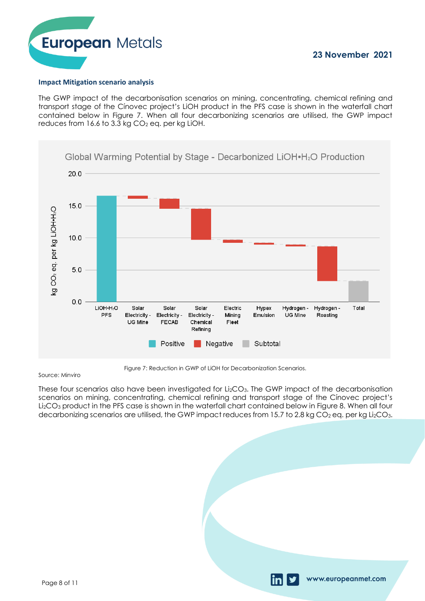

#### **Impact Mitigation scenario analysis**

The GWP impact of the decarbonisation scenarios on mining, concentrating, chemical refining and transport stage of the Cínovec project's LiOH product in the PFS case is shown in the waterfall chart contained below in Figure 7. When all four decarbonizing scenarios are utilised, the GWP impact reduces from  $16.6$  to  $3.3$  kg  $CO<sub>2</sub>$  eg. per kg LiOH.



Figure 7: Reduction in GWP of LiOH for Decarbonization Scenarios.

#### Source: Minviro

These four scenarios also have been investigated for Li<sub>2</sub>CO<sub>3</sub>. The GWP impact of the decarbonisation scenarios on mining, concentrating, chemical refining and transport stage of the Cínovec project's Li2CO<sup>3</sup> product in the PFS case is shown in the waterfall chart contained below in Figure 8. When all four decarbonizing scenarios are utilised, the GWP impact reduces from 15.7 to 2.8 kg CO<sub>2</sub> eq. per kg Li<sub>2</sub>CO<sub>3</sub>.

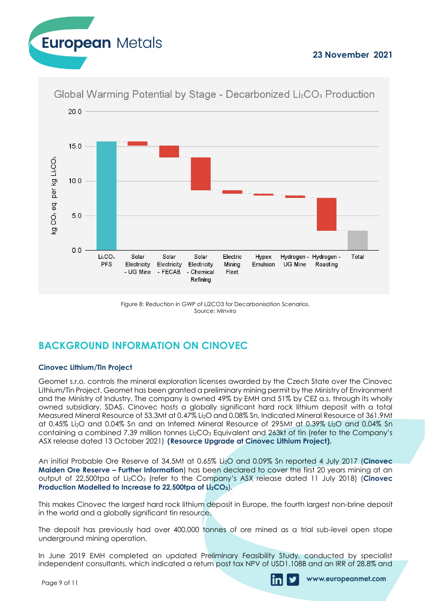



Global Warming Potential by Stage - Decarbonized Li<sub>2</sub>CO<sub>3</sub> Production

Figure 8: Reduction in GWP of Li2CO3 for Decarbonisation Scenarios. Source: Minviro

## **BACKGROUND INFORMATION ON CINOVEC**

#### **Cinovec Lithium/Tin Project**

Geomet s.r.o. controls the mineral exploration licenses awarded by the Czech State over the Cinovec Lithium/Tin Project. Geomet has been granted a preliminary mining permit by the Ministry of Environment and the Ministry of Industry. The company is owned 49% by EMH and 51% by CEZ a.s. through its wholly owned subsidiary, SDAS. Cinovec hosts a globally significant hard rock lithium deposit with a total Measured Mineral Resource of 53.3Mt at 0.47% Li2O and 0.08% Sn, Indicated Mineral Resource of 361.9Mt at 0.45% Li2O and 0.04% Sn and an Inferred Mineral Resource of 295Mt at 0.39% Li2O and 0.04% Sn containing a combined 7.39 million tonnes Li<sub>2</sub>CO<sub>3</sub> Equivalent and 263kt of tin (refer to the Company's ASX release dated 13 October 2021) **(Resource Upgrade at Cinovec Lithium Project).**

An initial Probable Ore Reserve of 34.5Mt at 0.65% Li2O and 0.09% Sn reported 4 July 2017 (**Cinovec Maiden Ore Reserve – Further Information**) has been declared to cover the first 20 years mining at an output of 22,500tpa of Li2CO<sup>3</sup> (refer to the Company's ASX release dated 11 July 2018) (**Cinovec Production Modelled to Increase to 22,500tpa of Li2CO3**).

This makes Cinovec the largest hard rock lithium deposit in Europe, the fourth largest non-brine deposit in the world and a globally significant tin resource.

The deposit has previously had over 400,000 tonnes of ore mined as a trial sub-level open stope underground mining operation.

In June 2019 EMH completed an updated Preliminary Feasibility Study, conducted by specialist independent consultants, which indicated a return post tax NPV of USD1.108B and an IRR of 28.8% and

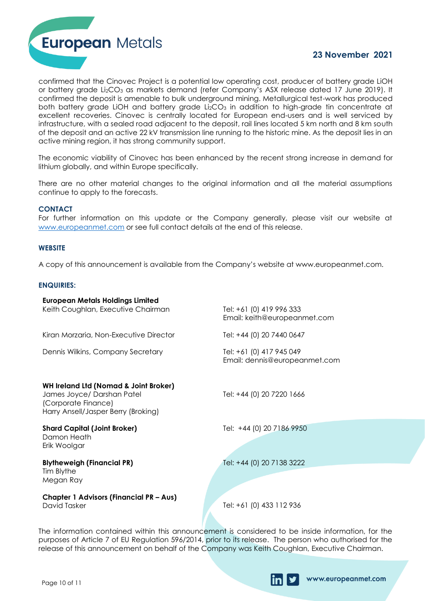

confirmed that the Cinovec Project is a potential low operating cost, producer of battery grade LiOH or battery grade Li<sub>2</sub>CO<sub>3</sub> as markets demand (refer Company's ASX release dated 17 June 2019). It confirmed the deposit is amenable to bulk underground mining. Metallurgical test-work has produced both battery grade LiOH and battery grade Li $_{2}CO_{3}$  in addition to high-grade tin concentrate at excellent recoveries. Cinovec is centrally located for European end-users and is well serviced by infrastructure, with a sealed road adjacent to the deposit, rail lines located 5 km north and 8 km south of the deposit and an active 22 kV transmission line running to the historic mine. As the deposit lies in an active mining region, it has strong community support.

The economic viability of Cinovec has been enhanced by the recent strong increase in demand for lithium globally, and within Europe specifically.

There are no other material changes to the original information and all the material assumptions continue to apply to the forecasts.

#### **CONTACT**

For further information on this update or the Company generally, please visit our website at [www.europeanmet.com](http://www.europeanmet.com/) or see full contact details at the end of this release.

#### **WEBSITE**

A copy of this announcement is available from the Company's website at www.europeanmet.com.

#### **ENQUIRIES:**

| <b>European Metals Holdings Limited</b><br>Keith Coughlan, Executive Chairman                                                                                                                                                                                                                                   | Tel: +61 (0) 419 996 333<br>Email: keith@europeanmet.com  |  |  |  |  |
|-----------------------------------------------------------------------------------------------------------------------------------------------------------------------------------------------------------------------------------------------------------------------------------------------------------------|-----------------------------------------------------------|--|--|--|--|
| Kiran Morzaria, Non-Executive Director                                                                                                                                                                                                                                                                          | Tel: +44 (0) 20 7440 0647                                 |  |  |  |  |
| Dennis Wilkins, Company Secretary                                                                                                                                                                                                                                                                               | Tel: +61 (0) 417 945 049<br>Email: dennis@europeanmet.com |  |  |  |  |
| <b>WH Ireland Ltd (Nomad &amp; Joint Broker)</b><br>James Joyce/ Darshan Patel<br>(Corporate Finance)<br>Harry Ansell/Jasper Berry (Broking)                                                                                                                                                                    | Tel: +44 (0) 20 7220 1666                                 |  |  |  |  |
| <b>Shard Capital (Joint Broker)</b><br>Damon Heath<br>Erik Woolgar                                                                                                                                                                                                                                              | Tel: +44 (0) 20 7186 9950                                 |  |  |  |  |
| <b>Blytheweigh (Financial PR)</b>                                                                                                                                                                                                                                                                               | Tel: +44 (0) 20 7138 3222                                 |  |  |  |  |
| Tim Blythe<br>Megan Ray                                                                                                                                                                                                                                                                                         |                                                           |  |  |  |  |
| <b>Chapter 1 Advisors (Financial PR - Aus)</b><br>David Tasker                                                                                                                                                                                                                                                  | Tel: +61 (0) 433 112 936                                  |  |  |  |  |
| The information contained within this announcement is considered to be inside information, for the<br>purposes of Article 7 of EU Regulation 596/2014, prior to its release. The person who authorised for the<br>release of this announcement on behalf of the Company was Keith Coughlan, Executive Chairman. |                                                           |  |  |  |  |